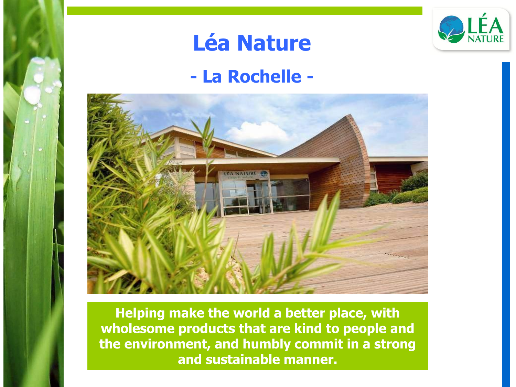

# **Léa Nature**

#### **- La Rochelle -**



**Helping make the world a better place, with wholesome products that are kind to people and the environment, and humbly commit in a strong and sustainable manner.**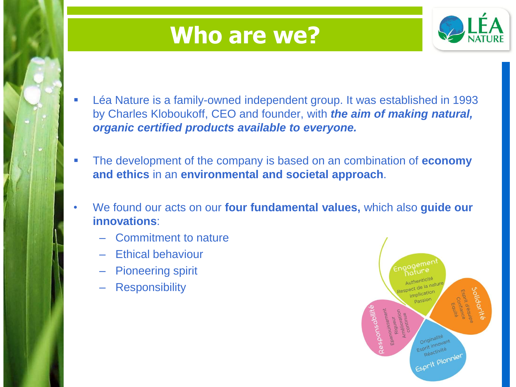# **Who are we?**



- Léa Nature is a family-owned independent group. It was established in 1993 by Charles Kloboukoff, CEO and founder, with *the aim of making natural, organic certified products available to everyone.*
- The development of the company is based on an combination of **economy and ethics** in an **environmental and societal approach**.
- We found our acts on our **four fundamental values,** which also **guide our innovations**:
	- Commitment to nature
	- Ethical behaviour
	- Pioneering spirit
	- **Responsibility**

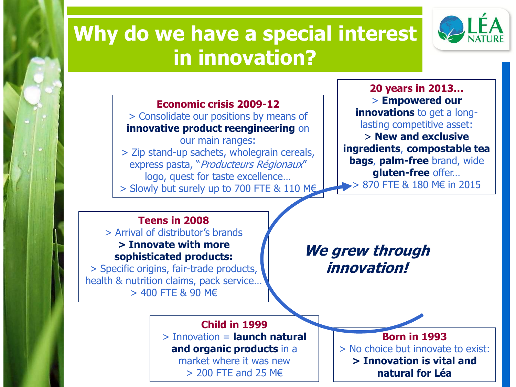#### **Why do we have a special interest in innovation?**

![](_page_2_Picture_1.jpeg)

**Economic crisis 2009-12** > Consolidate our positions by means of **innovative product reengineering** on our main ranges: > Zip stand-up sachets, wholegrain cereals, express pasta, "Producteurs Régionaux" logo, quest for taste excellence… > Slowly but surely up to 700 FTE & 110 M€

**20 years in 2013…** > **Empowered our innovations** to get a longlasting competitive asset: > **New and exclusive ingredients**, **compostable tea bags**, **palm-free** brand, wide **gluten-free** offer…  $> 870$  FTF & 180 M€ in 2015

#### **Teens in 2008**

> Arrival of distributor's brands **> Innovate with more sophisticated products:**

> Specific origins, fair-trade products, health & nutrition claims, pack service… > 400 FTE & 90 M€

**We grew through innovation!**

**Child in 1999** > Innovation = **launch natural and organic products** in a

market where it was new > 200 FTE and 25 M€

**Born in 1993** > No choice but innovate to exist: **> Innovation is vital and natural for Léa**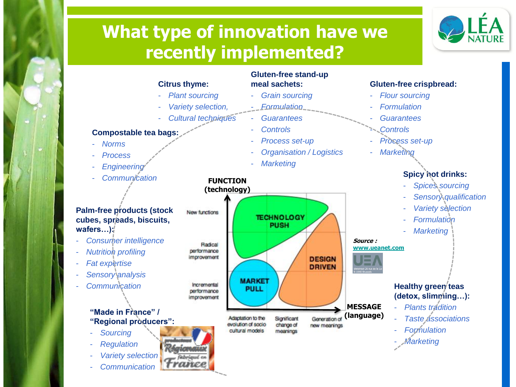#### **What type of innovation have we recently implemented?**

![](_page_3_Picture_1.jpeg)

![](_page_3_Figure_2.jpeg)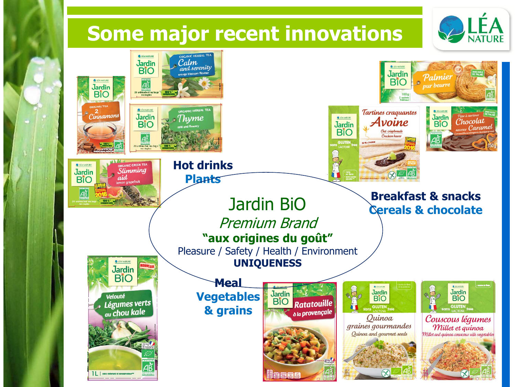![](_page_4_Picture_0.jpeg)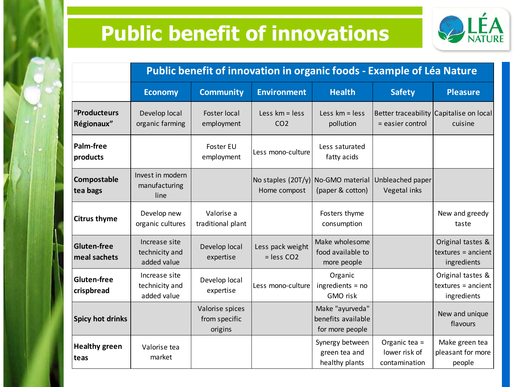## **Public benefit of innovations**

![](_page_5_Picture_1.jpeg)

|                                    | Public benefit of innovation in organic foods - Example of Léa Nature |                                             |                                                    |                                                          |                                                 |                                                          |
|------------------------------------|-----------------------------------------------------------------------|---------------------------------------------|----------------------------------------------------|----------------------------------------------------------|-------------------------------------------------|----------------------------------------------------------|
|                                    | <b>Economy</b>                                                        | <b>Community</b>                            | <b>Environment</b>                                 | <b>Health</b>                                            | <b>Safety</b>                                   | <b>Pleasure</b>                                          |
| "Producteurs<br>Régionaux"         | Develop local<br>organic farming                                      | <b>Foster local</b><br>employment           | Less $km = less$<br>CO <sub>2</sub>                | Less $km = less$<br>pollution                            | = easier control                                | Better traceability Capitalise on local<br>cuisine       |
| Palm-free<br>products              |                                                                       | Foster EU<br>employment                     | Less mono-culture                                  | Less saturated<br>fatty acids                            |                                                 |                                                          |
| Compostable<br>tea bags            | Invest in modern<br>manufacturing<br>line                             |                                             | No staples (20T/y) No-GMO material<br>Home compost | (paper & cotton)                                         | Unbleached paper<br>Vegetal inks                |                                                          |
| <b>Citrus thyme</b>                | Develop new<br>organic cultures                                       | Valorise a<br>traditional plant             |                                                    | Fosters thyme<br>consumption                             |                                                 | New and greedy<br>taste                                  |
| <b>Gluten-free</b><br>meal sachets | Increase site<br>technicity and<br>added value                        | Develop local<br>expertise                  | Less pack weight<br>$=$ less CO2                   | Make wholesome<br>food available to<br>more people       |                                                 | Original tastes &<br>$textures = ancient$<br>ingredients |
| <b>Gluten-free</b><br>crispbread   | Increase site<br>technicity and<br>added value                        | Develop local<br>expertise                  | Less mono-culture                                  | Organic<br>$ing$ redients = no<br>GMO risk               |                                                 | Original tastes &<br>$textures = ancient$<br>ingredients |
| <b>Spicy hot drinks</b>            |                                                                       | Valorise spices<br>from specific<br>origins |                                                    | Make "ayurveda"<br>benefits available<br>for more people |                                                 | New and unique<br>flavours                               |
| <b>Healthy green</b><br>teas       | Valorise tea<br>market                                                |                                             |                                                    | Synergy between<br>green tea and<br>healthy plants       | Organic tea =<br>lower risk of<br>contamination | Make green tea<br>pleasant for more<br>people            |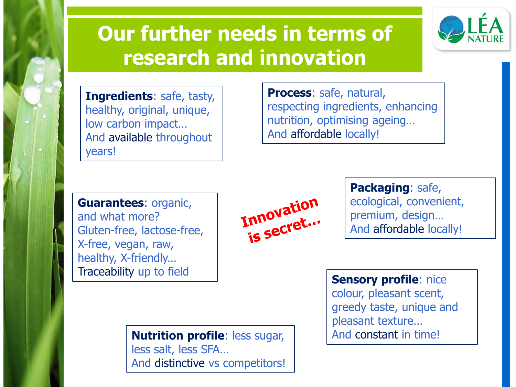## **Our further needs in terms of research and innovation**

![](_page_6_Picture_1.jpeg)

**Ingredients**: safe, tasty, healthy, original, unique, low carbon impact… And available throughout years!

**Process**: safe, natural, respecting ingredients, enhancing nutrition, optimising ageing… And affordable locally!

**Guarantees**: organic, and what more? Gluten-free, lactose-free, X-free, vegan, raw, healthy, X-friendly… Traceability up to field **Sensory profile**: nice

Innovation

**Packaging**: safe, ecological, convenient, premium, design… And affordable locally!

**Nutrition profile**: less sugar,  $\vert$  And constant in time! less salt, less SFA… And distinctive vs competitors!

colour, pleasant scent, greedy taste, unique and pleasant texture…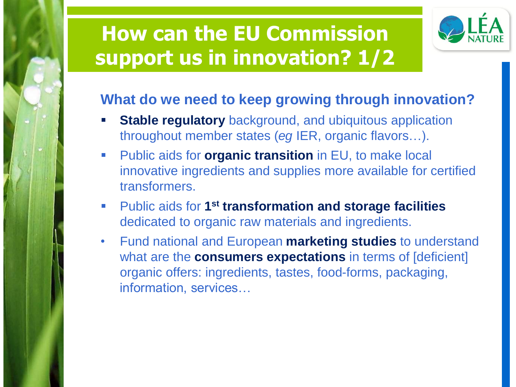## **How can the EU Commission support us in innovation? 1/2**

![](_page_7_Picture_1.jpeg)

#### **What do we need to keep growing through innovation?**

- **Stable regulatory** background, and ubiquitous application throughout member states (*eg* IER, organic flavors…).
- **Public aids for organic transition** in EU, to make local innovative ingredients and supplies more available for certified transformers.
- **Public aids for 1<sup>st</sup> transformation and storage facilities** dedicated to organic raw materials and ingredients.
- Fund national and European **marketing studies** to understand what are the **consumers expectations** in terms of [deficient] organic offers: ingredients, tastes, food-forms, packaging, information, services…